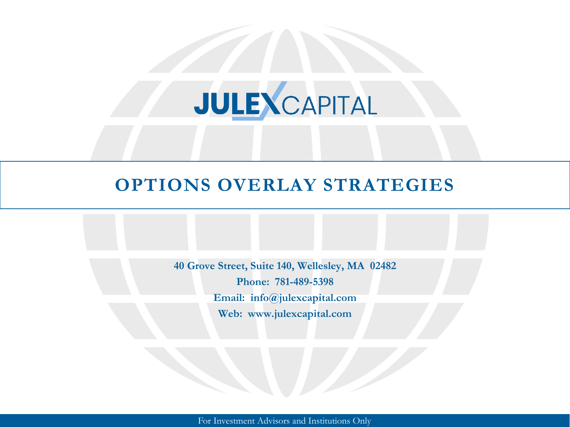# JULEXCAPITAL

# **OPTIONS OVERLAY STRATEGIES**

**40 Grove Street, Suite 140, Wellesley, MA 02482 Phone: 781-489-5398 Email: info@julexcapital.com Web: www.julexcapital.com**

For Investment Advisors and Institutions Only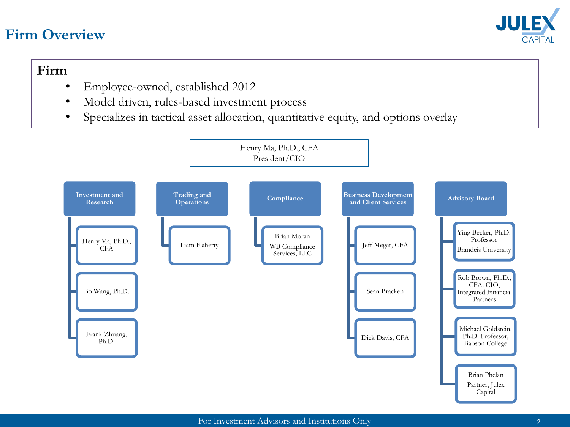#### **Firm Overview**



#### **Firm**

- Employee-owned, established 2012
- Model driven, rules-based investment process
- Specializes in tactical asset allocation, quantitative equity, and options overlay

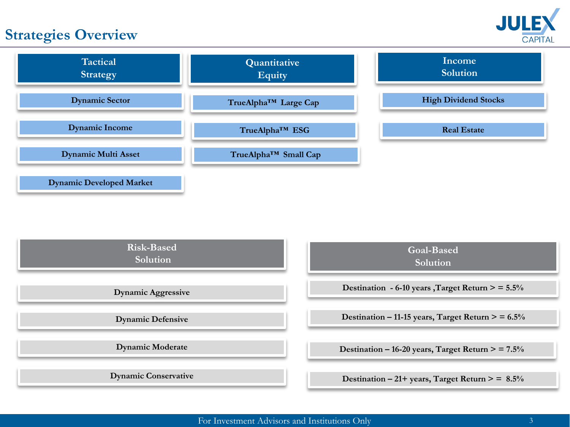# **Strategies Overview**





| <b>Risk-Based</b><br>Solution | <b>Goal-Based</b><br>Solution                       |
|-------------------------------|-----------------------------------------------------|
| <b>Dynamic Aggressive</b>     | Destination - 6-10 years, Target Return $>$ = 5.5%  |
| <b>Dynamic Defensive</b>      | Destination – 11-15 years, Target Return $>$ = 6.5% |
| <b>Dynamic Moderate</b>       | Destination – 16-20 years, Target Return $>$ = 7.5% |
| <b>Dynamic Conservative</b>   | Destination – 21+ years, Target Return $>$ = 8.5%   |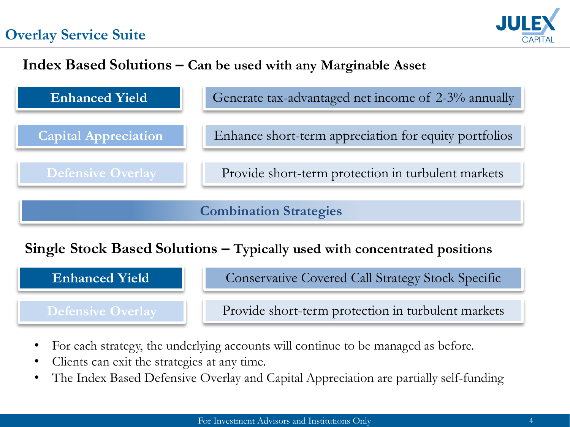# **Overlay Service Suite**



### **Index Based Solutions – Can be used with any Marginable Asset**



# **Single Stock Based Solutions – Typically used with concentrated positions**



- For each strategy, the underlying accounts will continue to be managed as before.
- Clients can exit the strategies at any time.
- The Index Based Defensive Overlay and Capital Appreciation are partially self-funding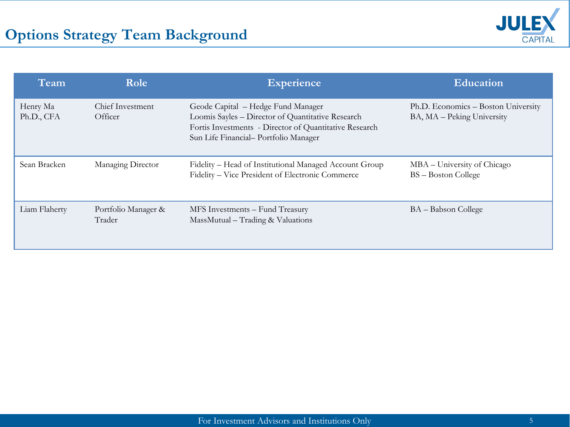

| Team                   | Role                          | Experience                                                                                                                                                                                | <b>Education</b>                                                  |
|------------------------|-------------------------------|-------------------------------------------------------------------------------------------------------------------------------------------------------------------------------------------|-------------------------------------------------------------------|
| Henry Ma<br>Ph.D., CFA | Chief Investment<br>Officer   | Geode Capital – Hedge Fund Manager<br>Loomis Sayles - Director of Quantitative Research<br>Fortis Investments - Director of Quantitative Research<br>Sun Life Financial-Portfolio Manager | Ph.D. Economics - Boston University<br>BA, MA - Peking University |
| Sean Bracken           | Managing Director             | Fidelity – Head of Institutional Managed Account Group<br>Fidelity – Vice President of Electronic Commerce                                                                                | MBA – University of Chicago<br>BS - Boston College                |
| Liam Flaherty          | Portfolio Manager &<br>Trader | MFS Investments - Fund Treasury<br>MassMutual – Trading & Valuations                                                                                                                      | BA – Babson College                                               |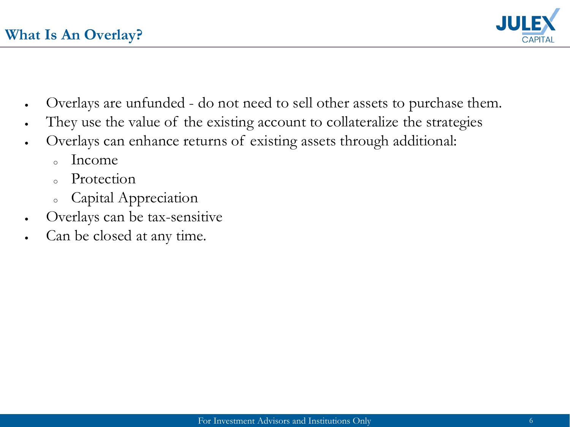

- Overlays are unfunded do not need to sell other assets to purchase them.
- They use the value of the existing account to collateralize the strategies
- Overlays can enhance returns of existing assets through additional:
	- $\circ$  Income
	- <sup>o</sup> Protection
	- <sup>o</sup> Capital Appreciation
- Overlays can be tax-sensitive
- Can be closed at any time.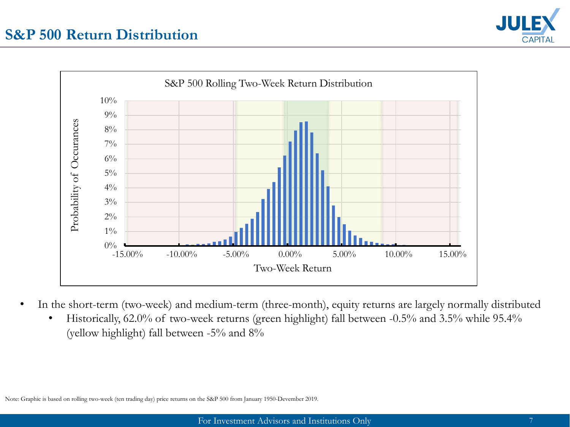#### **S&P 500 Return Distribution**





- In the short-term (two-week) and medium-term (three-month), equity returns are largely normally distributed
	- Historically, 62.0% of two-week returns (green highlight) fall between -0.5% and 3.5% while 95.4% (yellow highlight) fall between -5% and 8%

Note: Graphic is based on rolling two-week (ten trading day) price returns on the S&P 500 from January 1950-Devember 2019.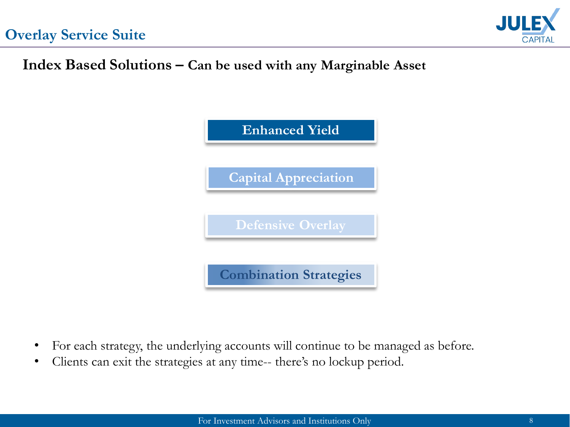

## **Index Based Solutions – Can be used with any Marginable Asset**



- For each strategy, the underlying accounts will continue to be managed as before.
- Clients can exit the strategies at any time-- there's no lockup period.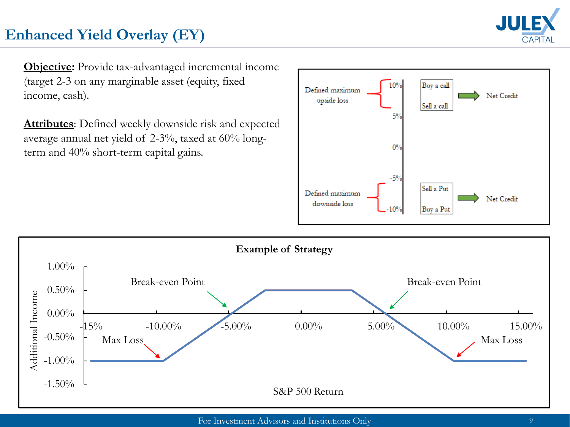

# **Enhanced Yield Overlay (EY)**

**Objective:** Provide tax-advantaged incremental income (target 2-3 on any marginable asset (equity, fixed income, cash).

**Attributes**: Defined weekly downside risk and expected average annual net yield of 2-3%, taxed at 60% longterm and 40% short-term capital gains.



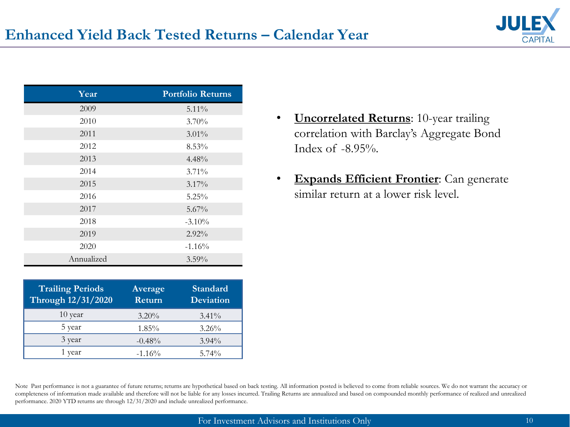

| Year       | <b>Portfolio Returns</b> |
|------------|--------------------------|
| 2009       | $5.11\%$                 |
| 2010       | $3.70\%$                 |
| 2011       | $3.01\%$                 |
| 2012       | 8.53%                    |
| 2013       | 4.48%                    |
| 2014       | 3.71%                    |
| 2015       | $3.17\%$                 |
| 2016       | 5.25%                    |
| 2017       | $5.67\%$                 |
| 2018       | $-3.10%$                 |
| 2019       | 2.92%                    |
| 2020       | $-1.16%$                 |
| Annualized | $3.59\%$                 |

| <b>Trailing Periods</b><br>Through 12/31/2020 | Average<br>Return | <b>Standard</b><br><b>Deviation</b> |
|-----------------------------------------------|-------------------|-------------------------------------|
| 10 year                                       | $3.20\%$          | $3.41\%$                            |
| 5 year                                        | 1.85%             | $3.26\%$                            |
| 3 year                                        | $-0.48%$          | $3.94\%$                            |
| 1 vear                                        | $-1.16%$          | $5.74\%$                            |

- **Uncorrelated Returns**: 10-year trailing correlation with Barclay's Aggregate Bond Index of -8.95%.
- **Expands Efficient Frontier**: Can generate similar return at a lower risk level.

Note Past performance is not a guarantee of future returns; returns are hypothetical based on back testing. All information posted is believed to come from reliable sources. We do not warrant the accuracy or completeness of information made available and therefore will not be liable for any losses incurred. Trailing Returns are annualized and based on compounded monthly performance of realized and unrealized performance. 2020 YTD returns are through 12/31/2020 and include unrealized performance.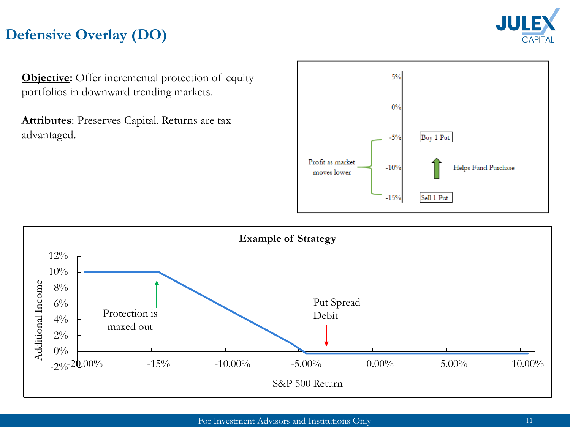# **Defensive Overlay (DO)**



**Objective:** Offer incremental protection of equity portfolios in downward trending markets.

**Attributes**: Preserves Capital. Returns are tax advantaged.



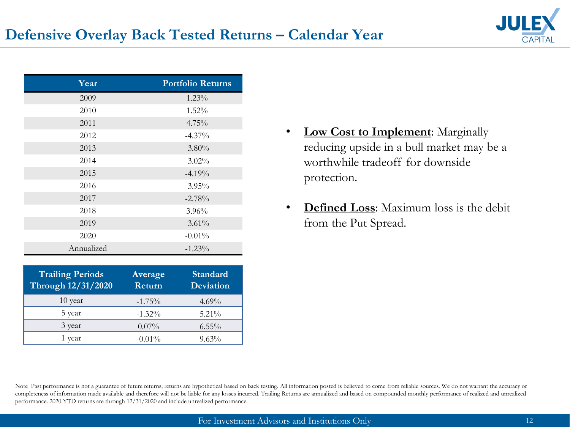

| Year       | <b>Portfolio Returns</b> |
|------------|--------------------------|
| 2009       | $1.23\%$                 |
| 2010       | $1.52\%$                 |
| 2011       | $4.75\%$                 |
| 2012       | $-4.37\%$                |
| 2013       | $-3.80\%$                |
| 2014       | $-3.02\%$                |
| 2015       | $-4.19%$                 |
| 2016       | $-3.95\%$                |
| 2017       | $-2.78%$                 |
| 2018       | $3.96\%$                 |
| 2019       | $-3.61%$                 |
| 2020       | $-0.01\%$                |
| Annualized | $-1.23\%$                |

| <b>Trailing Periods</b><br>Through 12/31/2020 | Average<br>Return | <b>Standard</b><br><b>Deviation</b> |
|-----------------------------------------------|-------------------|-------------------------------------|
| $10$ year                                     | $-1.75%$          | $4.69\%$                            |
| 5 year                                        | $-1.32\%$         | $5.21\%$                            |
| 3 year                                        | $0.07\%$          | $6.55\%$                            |
| vear                                          | $-0.01%$          | $9.63\%$                            |

- **Low Cost to Implement**: Marginally reducing upside in a bull market may be a worthwhile tradeoff for downside protection.
- **Defined Loss**: Maximum loss is the debit from the Put Spread.

Note Past performance is not a guarantee of future returns; returns are hypothetical based on back testing. All information posted is believed to come from reliable sources. We do not warrant the accuracy or completeness of information made available and therefore will not be liable for any losses incurred. Trailing Returns are annualized and based on compounded monthly performance of realized and unrealized performance. 2020 YTD returns are through 12/31/2020 and include unrealized performance.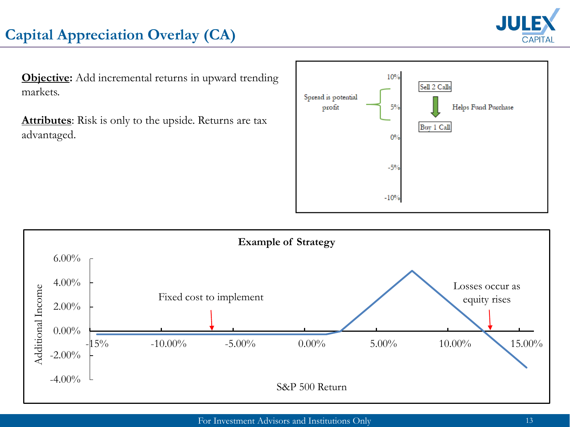

# **Capital Appreciation Overlay (CA)**

**Objective:** Add incremental returns in upward trending markets.

**Attributes**: Risk is only to the upside. Returns are tax advantaged.



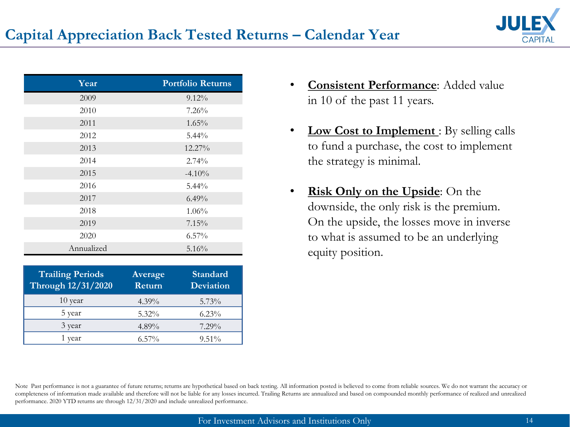

| Year       | <b>Portfolio Returns</b> |
|------------|--------------------------|
| 2009       | $9.12\%$                 |
| 2010       | 7.26%                    |
| 2011       | $1.65\%$                 |
| 2012       | $5.44\%$                 |
| 2013       | $12.27\%$                |
| 2014       | 2.74%                    |
| 2015       | $-4.10%$                 |
| 2016       | $5.44\%$                 |
| 2017       | $6.49\%$                 |
| 2018       | $1.06\%$                 |
| 2019       | 7.15%                    |
| 2020       | 6.57%                    |
| Annualized | 5.16%                    |

| <b>Trailing Periods</b><br>Through 12/31/2020 | Average<br>Return | Standard<br><b>Deviation</b> |
|-----------------------------------------------|-------------------|------------------------------|
| 10 year                                       | $4.39\%$          | $5.73\%$                     |
| 5 year                                        | $5.32\%$          | $6.23\%$                     |
| 3 year                                        | 4.89%             | $7.29\%$                     |
| vear                                          | $6.57\%$          | $9.51\%$                     |

- **Consistent Performance**: Added value in 10 of the past 11 years.
- **Low Cost to Implement** : By selling calls to fund a purchase, the cost to implement the strategy is minimal.
- **Risk Only on the Upside**: On the downside, the only risk is the premium. On the upside, the losses move in inverse to what is assumed to be an underlying equity position.

Note Past performance is not a guarantee of future returns; returns are hypothetical based on back testing. All information posted is believed to come from reliable sources. We do not warrant the accuracy or completeness of information made available and therefore will not be liable for any losses incurred. Trailing Returns are annualized and based on compounded monthly performance of realized and unrealized performance. 2020 YTD returns are through 12/31/2020 and include unrealized performance.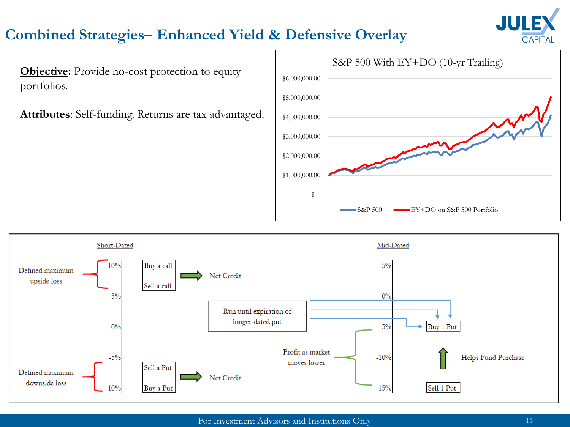

#### **Combined Strategies– Enhanced Yield & Defensive Overlay**

**Objective:** Provide no-cost protection to equity portfolios.

**Attributes**: Self-funding. Returns are tax advantaged.



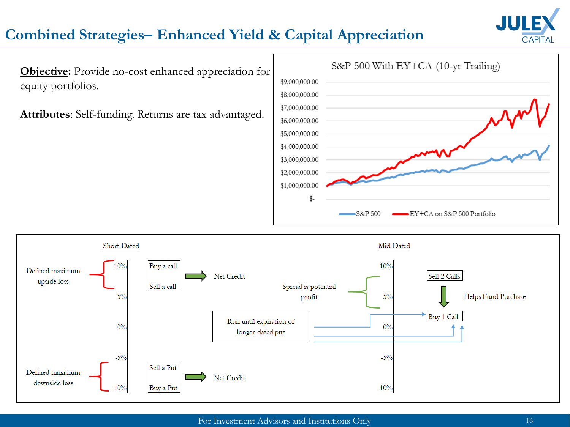

#### **Combined Strategies– Enhanced Yield & Capital Appreciation**

**Objective:** Provide no-cost enhanced appreciation for equity portfolios.

**Attributes**: Self-funding. Returns are tax advantaged.



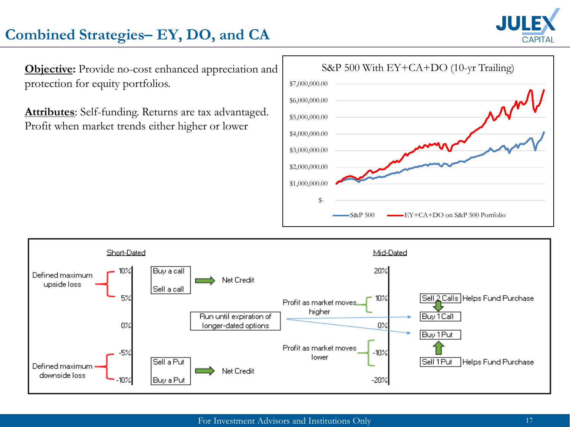

# **Combined Strategies– EY, DO, and CA**

**Objective:** Provide no-cost enhanced appreciation and protection for equity portfolios.

**Attributes**: Self-funding. Returns are tax advantaged. Profit when market trends either higher or lower



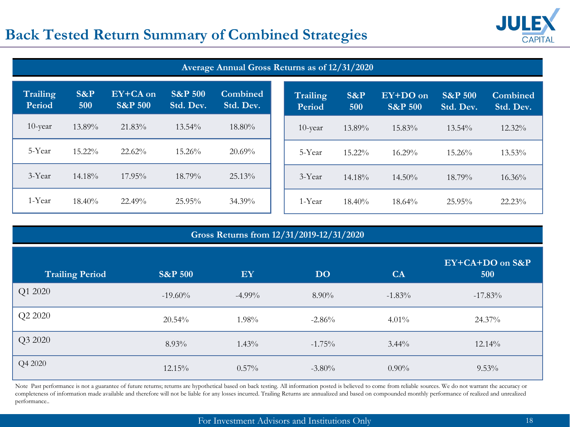#### **Back Tested Return Summary of Combined Strategies**



| Average Annual Gross Returns as of 12/31/2020 |               |                                |                                 |                              |  |                           |               |                                |                                 |                              |
|-----------------------------------------------|---------------|--------------------------------|---------------------------------|------------------------------|--|---------------------------|---------------|--------------------------------|---------------------------------|------------------------------|
| Trailing<br>Period                            | $S\&P$<br>500 | EY+CA on<br><b>S&amp;P 500</b> | <b>S&amp;P 500</b><br>Std. Dev. | <b>Combined</b><br>Std. Dev. |  | <b>Trailing</b><br>Period | $S\&P$<br>500 | EY+DO on<br><b>S&amp;P 500</b> | <b>S&amp;P 500</b><br>Std. Dev. | <b>Combined</b><br>Std. Dev. |
| $10$ -year                                    | 13.89%        | 21.83%                         | $13.54\%$                       | $18.80\%$                    |  | $10$ -year                | 13.89%        | 15.83%                         | 13.54%                          | 12.32%                       |
| 5-Year                                        | 15.22%        | 22.62%                         | 15.26%                          | 20.69%                       |  | 5-Year                    | 15.22%        | $16.29\%$                      | $15.26\%$                       | 13.53%                       |
| 3-Year                                        | $14.18\%$     | $17.95\%$                      | 18.79%                          | 25.13%                       |  | 3-Year                    | $14.18\%$     | $14.50\%$                      | 18.79%                          | $16.36\%$                    |
| 1-Year                                        | $18.40\%$     | 22.49%                         | 25.95%                          | 34.39%                       |  | 1-Year                    | $18.40\%$     | 18.64%                         | 25.95%                          | 22.23%                       |

| Gross Returns from 12/31/2019-12/31/2020 |                    |           |           |           |                        |  |  |  |
|------------------------------------------|--------------------|-----------|-----------|-----------|------------------------|--|--|--|
| <b>Trailing Period</b>                   | <b>S&amp;P 500</b> | EY        | <b>DO</b> | <b>CA</b> | EY+CA+DO on S&P<br>500 |  |  |  |
| Q1 2020                                  | $-19.60\%$         | $-4.99\%$ | $8.90\%$  | $-1.83%$  | $-17.83\%$             |  |  |  |
| Q2 2020                                  | 20.54%             | $1.98\%$  | $-2.86%$  | $4.01\%$  | 24.37%                 |  |  |  |
| Q3 2020                                  | $8.93\%$           | $1.43\%$  | $-1.75\%$ | $3.44\%$  | 12.14%                 |  |  |  |
| Q4 2020                                  | 12.15%             | $0.57\%$  | $-3.80\%$ | $0.90\%$  | $9.53\%$               |  |  |  |

Note Past performance is not a guarantee of future returns; returns are hypothetical based on back testing. All information posted is believed to come from reliable sources. We do not warrant the accuracy or completeness of information made available and therefore will not be liable for any losses incurred. Trailing Returns are annualized and based on compounded monthly performance of realized and unrealized performance..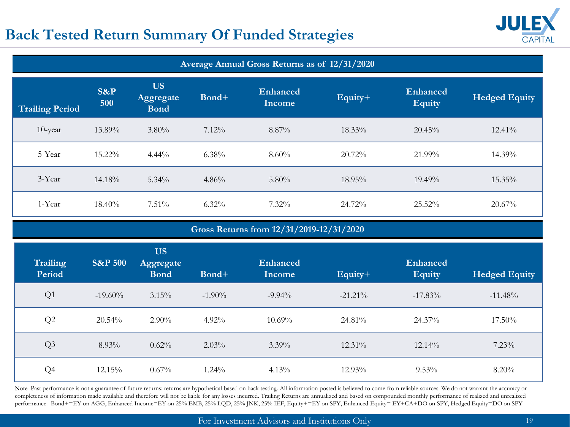### **Back Tested Return Summary Of Funded Strategies**



| Average Annual Gross Returns as of 12/31/2020 |                    |                                       |          |                           |           |                                  |                      |  |
|-----------------------------------------------|--------------------|---------------------------------------|----------|---------------------------|-----------|----------------------------------|----------------------|--|
| <b>Trailing Period</b>                        | $S\&P$<br>500      | <b>US</b><br>Aggregate<br><b>Bond</b> | Bond+    | Enhanced<br><b>Income</b> | Equity+   | <b>Enhanced</b><br><b>Equity</b> | <b>Hedged Equity</b> |  |
| 10-year                                       | 13.89%             | $3.80\%$                              | 7.12%    | 8.87%                     | 18.33%    | 20.45%                           | 12.41%               |  |
| 5-Year                                        | 15.22%             | $4.44\%$                              | 6.38%    | 8.60%                     | 20.72%    | 21.99%                           | 14.39%               |  |
| 3-Year                                        | 14.18%             | $5.34\%$                              | 4.86%    | 5.80%                     | 18.95%    | 19.49%                           | 15.35%               |  |
| 1-Year                                        | 18.40%             | 7.51%                                 | 6.32%    | 7.32%                     | 24.72%    | 25.52%                           | 20.67%               |  |
| Gross Returns from 12/31/2019-12/31/2020      |                    |                                       |          |                           |           |                                  |                      |  |
|                                               |                    |                                       |          |                           |           |                                  |                      |  |
| <b>Trailing</b><br>Period                     | <b>S&amp;P 500</b> | <b>US</b><br>Aggregate<br><b>Bond</b> | Bond+    | <b>Enhanced</b><br>Income | Equity+   | Enhanced<br><b>Equity</b>        | <b>Hedged Equity</b> |  |
| Q1                                            | $-19.60\%$         | 3.15%                                 | $-1.90%$ | $-9.94%$                  | $-21.21%$ | $-17.83%$                        | $-11.48%$            |  |
| Q2                                            | 20.54%             | 2.90%                                 | 4.92%    | 10.69%                    | 24.81%    | 24.37%                           | 17.50%               |  |
| Q3                                            | 8.93%              | 0.62%                                 | 2.03%    | 3.39%                     | 12.31%    | 12.14%                           | 7.23%                |  |

Note Past performance is not a guarantee of future returns; returns are hypothetical based on back testing. All information posted is believed to come from reliable sources. We do not warrant the accuracy or completeness of information made available and therefore will not be liable for any losses incurred. Trailing Returns are annualized and based on compounded monthly performance of realized and unrealized performance. Bond+=EY on AGG, Enhanced Income=EY on 25% EMB, 25% LQD, 25% JNK, 25% IEF, Equity+=EY on SPY, Enhanced Equity= EY+CA+DO on SPY, Hedged Equity=DO on SPY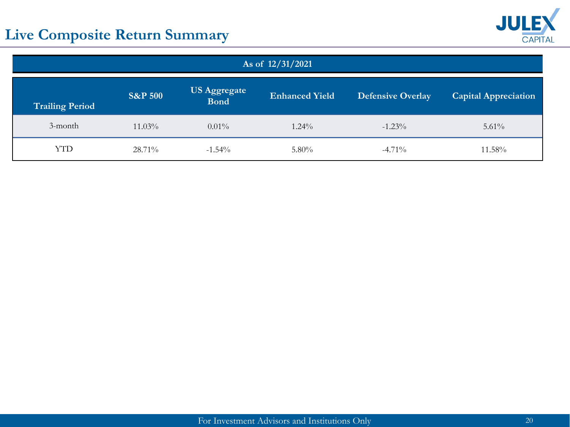# **Live Composite Return Summary**



| As of 12/31/2021                                                                                                                                                       |           |           |          |           |          |  |  |  |
|------------------------------------------------------------------------------------------------------------------------------------------------------------------------|-----------|-----------|----------|-----------|----------|--|--|--|
| <b>US Aggregate</b><br><b>S&amp;P 500</b><br><b>Enhanced Yield</b><br><b>Defensive Overlay</b><br><b>Capital Appreciation</b><br><b>Bond</b><br><b>Trailing Period</b> |           |           |          |           |          |  |  |  |
| 3-month                                                                                                                                                                | $11.03\%$ | $0.01\%$  | $1.24\%$ | $-1.23\%$ | $5.61\%$ |  |  |  |
| <b>YTD</b>                                                                                                                                                             | 28.71%    | $-1.54\%$ | $5.80\%$ | $-4.71\%$ | 11.58%   |  |  |  |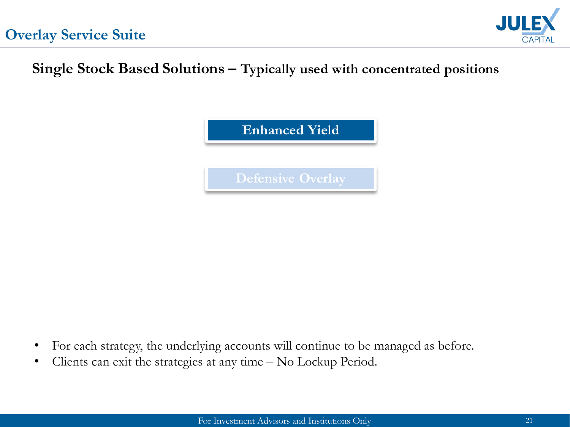

# **Single Stock Based Solutions – Typically used with concentrated positions**



- For each strategy, the underlying accounts will continue to be managed as before.
- Clients can exit the strategies at any time No Lockup Period.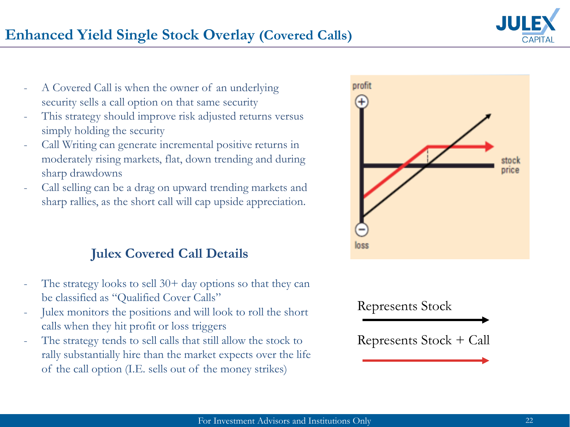



- A Covered Call is when the owner of an underlying security sells a call option on that same security
- This strategy should improve risk adjusted returns versus simply holding the security
- Call Writing can generate incremental positive returns in moderately rising markets, flat, down trending and during sharp drawdowns
- Call selling can be a drag on upward trending markets and sharp rallies, as the short call will cap upside appreciation.

#### **Julex Covered Call Details**

- The strategy looks to sell  $30+$  day options so that they can be classified as "Qualified Cover Calls"
- Julex monitors the positions and will look to roll the short calls when they hit profit or loss triggers
- The strategy tends to sell calls that still allow the stock to rally substantially hire than the market expects over the life of the call option (I.E. sells out of the money strikes)



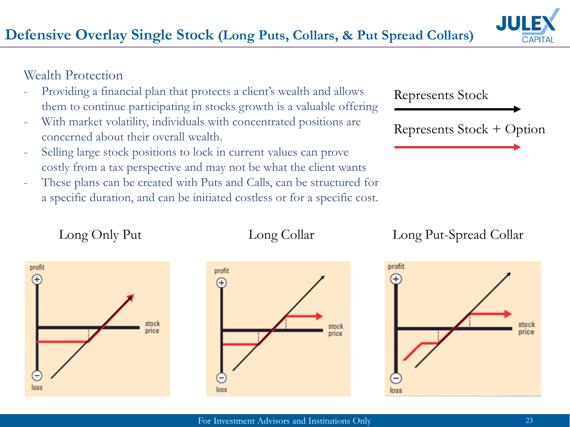#### Wealth Protection

- Providing a financial plan that protects a client's wealth and allows them to continue participating in stocks growth is a valuable offering
- With market volatility, individuals with concentrated positions are concerned about their overall wealth.
- Selling large stock positions to lock in current values can prove costly from a tax perspective and may not be what the client wants
- These plans can be created with Puts and Calls, can be structured for a specific duration, and can be initiated costless or for a specific cost.

profit



Represents Stock + Option



Long Only Put Long Collar Long Put-Spread Collar





stock

price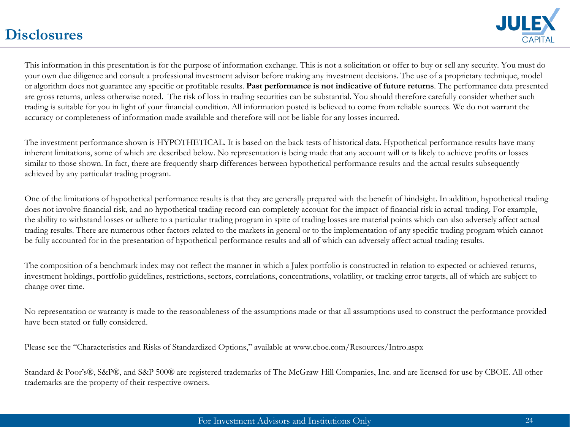#### **Disclosures**



This information in this presentation is for the purpose of information exchange. This is not a solicitation or offer to buy or sell any security. You must do your own due diligence and consult a professional investment advisor before making any investment decisions. The use of a proprietary technique, model or algorithm does not guarantee any specific or profitable results. **Past performance is not indicative of future returns**. The performance data presented are gross returns, unless otherwise noted. The risk of loss in trading securities can be substantial. You should therefore carefully consider whether such trading is suitable for you in light of your financial condition. All information posted is believed to come from reliable sources. We do not warrant the accuracy or completeness of information made available and therefore will not be liable for any losses incurred.

The investment performance shown is HYPOTHETICAL. It is based on the back tests of historical data. Hypothetical performance results have many inherent limitations, some of which are described below. No representation is being made that any account will or is likely to achieve profits or losses similar to those shown. In fact, there are frequently sharp differences between hypothetical performance results and the actual results subsequently achieved by any particular trading program.

One of the limitations of hypothetical performance results is that they are generally prepared with the benefit of hindsight. In addition, hypothetical trading does not involve financial risk, and no hypothetical trading record can completely account for the impact of financial risk in actual trading. For example, the ability to withstand losses or adhere to a particular trading program in spite of trading losses are material points which can also adversely affect actual trading results. There are numerous other factors related to the markets in general or to the implementation of any specific trading program which cannot be fully accounted for in the presentation of hypothetical performance results and all of which can adversely affect actual trading results.

The composition of a benchmark index may not reflect the manner in which a Julex portfolio is constructed in relation to expected or achieved returns, investment holdings, portfolio guidelines, restrictions, sectors, correlations, concentrations, volatility, or tracking error targets, all of which are subject to change over time.

No representation or warranty is made to the reasonableness of the assumptions made or that all assumptions used to construct the performance provided have been stated or fully considered.

Please see the "Characteristics and Risks of Standardized Options," available at www.cboe.com/Resources/Intro.aspx

Standard & Poor's®, S&P®, and S&P 500® are registered trademarks of The McGraw-Hill Companies, Inc. and are licensed for use by CBOE. All other trademarks are the property of their respective owners.